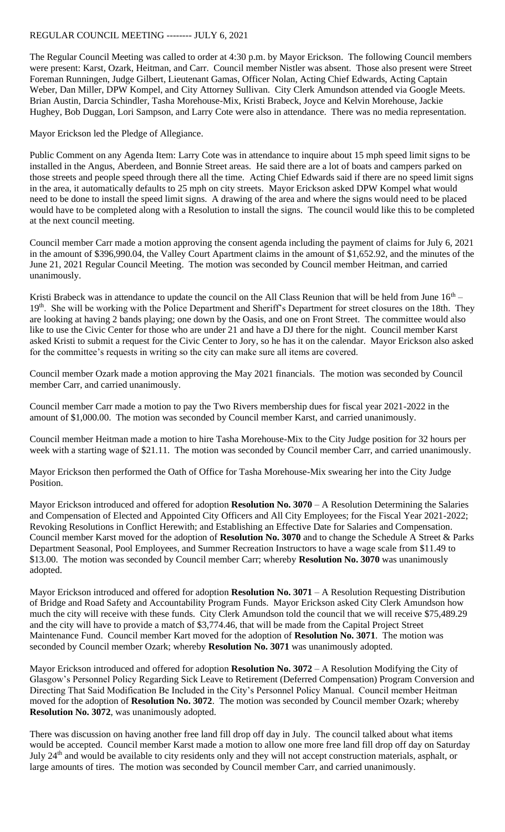## REGULAR COUNCIL MEETING -------- JULY 6, 2021

The Regular Council Meeting was called to order at 4:30 p.m. by Mayor Erickson. The following Council members were present: Karst, Ozark, Heitman, and Carr. Council member Nistler was absent. Those also present were Street Foreman Runningen, Judge Gilbert, Lieutenant Gamas, Officer Nolan, Acting Chief Edwards, Acting Captain Weber, Dan Miller, DPW Kompel, and City Attorney Sullivan. City Clerk Amundson attended via Google Meets. Brian Austin, Darcia Schindler, Tasha Morehouse-Mix, Kristi Brabeck, Joyce and Kelvin Morehouse, Jackie Hughey, Bob Duggan, Lori Sampson, and Larry Cote were also in attendance. There was no media representation.

Mayor Erickson led the Pledge of Allegiance.

Public Comment on any Agenda Item: Larry Cote was in attendance to inquire about 15 mph speed limit signs to be installed in the Angus, Aberdeen, and Bonnie Street areas. He said there are a lot of boats and campers parked on those streets and people speed through there all the time. Acting Chief Edwards said if there are no speed limit signs in the area, it automatically defaults to 25 mph on city streets. Mayor Erickson asked DPW Kompel what would need to be done to install the speed limit signs. A drawing of the area and where the signs would need to be placed would have to be completed along with a Resolution to install the signs. The council would like this to be completed at the next council meeting.

Council member Carr made a motion approving the consent agenda including the payment of claims for July 6, 2021 in the amount of \$396,990.04, the Valley Court Apartment claims in the amount of \$1,652.92, and the minutes of the June 21, 2021 Regular Council Meeting. The motion was seconded by Council member Heitman, and carried unanimously.

Kristi Brabeck was in attendance to update the council on the All Class Reunion that will be held from June  $16<sup>th</sup>$ 19<sup>th</sup>. She will be working with the Police Department and Sheriff's Department for street closures on the 18th. They are looking at having 2 bands playing; one down by the Oasis, and one on Front Street. The committee would also like to use the Civic Center for those who are under 21 and have a DJ there for the night. Council member Karst asked Kristi to submit a request for the Civic Center to Jory, so he has it on the calendar. Mayor Erickson also asked for the committee's requests in writing so the city can make sure all items are covered.

Council member Ozark made a motion approving the May 2021 financials. The motion was seconded by Council member Carr, and carried unanimously.

Council member Carr made a motion to pay the Two Rivers membership dues for fiscal year 2021-2022 in the amount of \$1,000.00. The motion was seconded by Council member Karst, and carried unanimously.

Council member Heitman made a motion to hire Tasha Morehouse-Mix to the City Judge position for 32 hours per week with a starting wage of \$21.11. The motion was seconded by Council member Carr, and carried unanimously.

Mayor Erickson then performed the Oath of Office for Tasha Morehouse-Mix swearing her into the City Judge Position.

Mayor Erickson introduced and offered for adoption **Resolution No. 3070** – A Resolution Determining the Salaries and Compensation of Elected and Appointed City Officers and All City Employees; for the Fiscal Year 2021-2022; Revoking Resolutions in Conflict Herewith; and Establishing an Effective Date for Salaries and Compensation. Council member Karst moved for the adoption of **Resolution No. 3070** and to change the Schedule A Street & Parks Department Seasonal, Pool Employees, and Summer Recreation Instructors to have a wage scale from \$11.49 to \$13.00. The motion was seconded by Council member Carr; whereby **Resolution No. 3070** was unanimously adopted.

Mayor Erickson introduced and offered for adoption **Resolution No. 3071** – A Resolution Requesting Distribution of Bridge and Road Safety and Accountability Program Funds. Mayor Erickson asked City Clerk Amundson how much the city will receive with these funds. City Clerk Amundson told the council that we will receive \$75,489.29 and the city will have to provide a match of \$3,774.46, that will be made from the Capital Project Street Maintenance Fund. Council member Kart moved for the adoption of **Resolution No. 3071**. The motion was seconded by Council member Ozark; whereby **Resolution No. 3071** was unanimously adopted.

Mayor Erickson introduced and offered for adoption **Resolution No. 3072** – A Resolution Modifying the City of Glasgow's Personnel Policy Regarding Sick Leave to Retirement (Deferred Compensation) Program Conversion and Directing That Said Modification Be Included in the City's Personnel Policy Manual. Council member Heitman moved for the adoption of **Resolution No. 3072**. The motion was seconded by Council member Ozark; whereby **Resolution No. 3072**, was unanimously adopted.

There was discussion on having another free land fill drop off day in July. The council talked about what items would be accepted. Council member Karst made a motion to allow one more free land fill drop off day on Saturday July 24<sup>th</sup> and would be available to city residents only and they will not accept construction materials, asphalt, or large amounts of tires. The motion was seconded by Council member Carr, and carried unanimously.